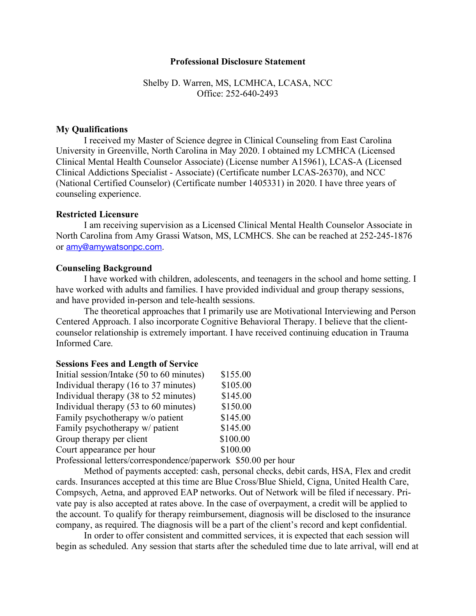### **Professional Disclosure Statement**

## Shelby D. Warren, MS, LCMHCA, LCASA, NCC Office: 252-640-2493

## **My Qualifications**

I received my Master of Science degree in Clinical Counseling from East Carolina University in Greenville, North Carolina in May 2020. I obtained my LCMHCA (Licensed Clinical Mental Health Counselor Associate) (License number A15961), LCAS-A (Licensed Clinical Addictions Specialist - Associate) (Certificate number LCAS-26370), and NCC (National Certified Counselor) (Certificate number 1405331) in 2020. I have three years of counseling experience.

### **Restricted Licensure**

I am receiving supervision as a Licensed Clinical Mental Health Counselor Associate in North Carolina from Amy Grassi Watson, MS, LCMHCS. She can be reached at 252-245-1876 or amy@amywatsonpc.com.

### **Counseling Background**

I have worked with children, adolescents, and teenagers in the school and home setting. I have worked with adults and families. I have provided individual and group therapy sessions, and have provided in-person and tele-health sessions.

The theoretical approaches that I primarily use are Motivational Interviewing and Person Centered Approach. I also incorporate Cognitive Behavioral Therapy. I believe that the clientcounselor relationship is extremely important. I have received continuing education in Trauma Informed Care.

#### **Sessions Fees and Length of Service**

| Initial session/Intake (50 to 60 minutes) | \$155.00 |
|-------------------------------------------|----------|
| Individual therapy (16 to 37 minutes)     | \$105.00 |
| Individual therapy (38 to 52 minutes)     | \$145.00 |
| Individual therapy (53 to 60 minutes)     | \$150.00 |
| Family psychotherapy w/o patient          | \$145.00 |
| Family psychotherapy w/ patient           | \$145.00 |
| Group therapy per client                  | \$100.00 |
| Court appearance per hour                 | \$100.00 |
|                                           |          |

Professional letters/correspondence/paperwork \$50.00 per hour

Method of payments accepted: cash, personal checks, debit cards, HSA, Flex and credit cards. Insurances accepted at this time are Blue Cross/Blue Shield, Cigna, United Health Care, Compsych, Aetna, and approved EAP networks. Out of Network will be filed if necessary. Private pay is also accepted at rates above. In the case of overpayment, a credit will be applied to the account. To qualify for therapy reimbursement, diagnosis will be disclosed to the insurance company, as required. The diagnosis will be a part of the client's record and kept confidential.

In order to offer consistent and committed services, it is expected that each session will begin as scheduled. Any session that starts after the scheduled time due to late arrival, will end at